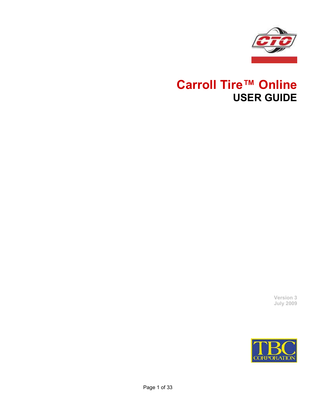

## **Carroll Tire™ Online USER GUIDE**

**Version 3 July 2009**

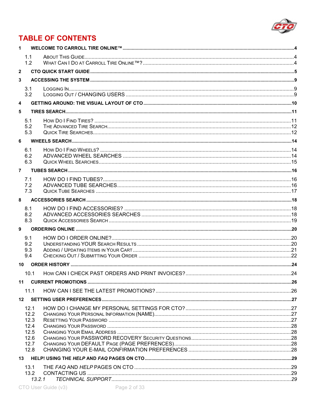

## **TABLE OF CONTENTS**

| $\mathbf{1}$   |                   |  |
|----------------|-------------------|--|
|                | 1.1               |  |
|                | 1.2               |  |
| $\mathbf{2}$   |                   |  |
| 3              |                   |  |
|                | 3.1<br>3.2        |  |
| 4              |                   |  |
| 5              |                   |  |
|                | 5.1<br>5.2<br>5.3 |  |
| 6              |                   |  |
|                |                   |  |
|                | 6.1<br>6.2        |  |
|                | 6.3               |  |
| 7 <sup>7</sup> |                   |  |
|                | 7.1               |  |
|                | 7.2               |  |
|                | 7.3               |  |
| 8              |                   |  |
|                | 8.1<br>8.2        |  |
|                | 8.3               |  |
| 9              |                   |  |
|                | 9.1               |  |
|                | 9.2               |  |
|                | 9.3<br>9.4        |  |
|                | 10                |  |
|                | 10.1              |  |
|                |                   |  |
| 11             |                   |  |
|                | 11.1              |  |
|                |                   |  |
|                | 12.1<br>12.2      |  |
|                | 12.3              |  |
|                | 12.4              |  |
|                | 12.5              |  |
|                | 12.6<br>12.7      |  |
|                | 12.8              |  |
|                |                   |  |
|                | 13.1              |  |
|                | 13.2              |  |
|                | 13.2.1            |  |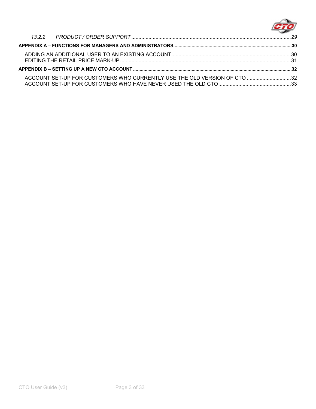

| ACCOUNT SET-UP FOR CUSTOMERS WHO CURRENTLY USE THE OLD VERSION OF CTO 32 |  |
|--------------------------------------------------------------------------|--|
|                                                                          |  |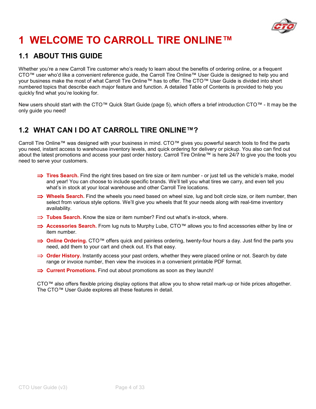

## **1 WELCOME TO CARROLL TIRE ONLINE™**

### **1.1 ABOUT THIS GUIDE**

Whether you're a new Carroll Tire customer who's ready to learn about the benefits of ordering online, or a frequent CTO™ user who'd like a convenient reference guide, the Carroll Tire Online™ User Guide is designed to help you and your business make the most of what Carroll Tire Online™ has to offer. The CTO™ User Guide is divided into short numbered topics that describe each major feature and function. A detailed Table of Contents is provided to help you quickly find what you're looking for.

New users should start with the CTO™ Quick Start Guide (page 5), which offers a brief introduction CTO™ - It may be the only guide you need!

### **1.2 WHAT CAN I DO AT CARROLL TIRE ONLINE™?**

Carroll Tire Online™ was designed with your business in mind. CTO™ gives you powerful search tools to find the parts you need, instant access to warehouse inventory levels, and quick ordering for delivery or pickup. You also can find out about the latest promotions and access your past order history. Carroll Tire Online™ is here 24/7 to give you the tools you need to serve your customers.

- ⇒ **Tires Search.** Find the right tires based on tire size or item number or just tell us the vehicle's make, model and year! You can choose to include specific brands. We'll tell you what tires we carry, and even tell you what's in stock at your local warehouse and other Carroll Tire locations.
- ⇒ **Wheels Search.** Find the wheels you need based on wheel size, lug and bolt circle size, or item number, then select from various style options. We'll give you wheels that fit your needs along with real-time inventory availability.
- ⇒ **Tubes Search.** Know the size or item number? Find out what's in-stock, where.
- ⇒ **Accessories Search.** From lug nuts to Murphy Lube, CTO™ allows you to find accessories either by line or item number.
- $\implies$  **Online Ordering.** CTO™ offers quick and painless ordering, twenty-four hours a day. Just find the parts you need, add them to your cart and check out. It's that easy.
- ⇒ **Order History.** Instantly access your past orders, whether they were placed online or not. Search by date range or invoice number, then view the invoices in a convenient printable PDF format.
- ⇒ **Current Promotions.** Find out about promotions as soon as they launch!

CTO™ also offers flexible pricing display options that allow you to show retail mark-up or hide prices altogether. The CTO™ User Guide explores all these features in detail.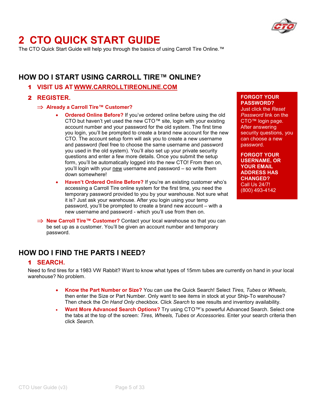

## **2 CTO QUICK START GUIDE**

The CTO Quick Start Guide will help you through the basics of using Carroll Tire Online.<sup>™</sup>

### **HOW DO I START USING CARROLL TIRE™ ONLINE?**

1 **VISIT US AT WWW.CARROLLTIREONLINE.COM**

#### 2 **REGISTER.**

⇒ **Already a Carroll Tire™ Customer?** 

- **Ordered Online Before?** If you've ordered online before using the old CTO but haven't yet used the new CTO™ site, login with your existing account number and your password for the old system. The first time you login, you'll be prompted to create a brand new account for the new CTO. The account setup form will ask you to create a new username and password (feel free to choose the same username and password you used in the old system). You'll also set up your private security questions and enter a few more details. Once you submit the setup form, you'll be automatically logged into the new CTO! From then on, you'll login with your new username and password – so write them down somewhere!
- **Haven't Ordered Online Before?** If you're an existing customer who's accessing a Carroll Tire online system for the first time, you need the temporary password provided to you by your warehouse. Not sure what it is? Just ask your warehouse. After you login using your temp password, you'll be prompted to create a brand new account – with a new username and password - which you'll use from then on.
- ⇒ **New Carroll Tire™ Customer?** Contact your local warehouse so that you can be set up as a customer. You'll be given an account number and temporary password.

#### **FORGOT YOUR PASSWORD?**

Just click the *Reset Password* link on the CTO™ login page. After answering security questions, you can choose a new password.

**FORGOT YOUR USERNAME, OR YOUR EMAIL ADDRESS HAS CHANGED?** Call Us 24/7! (800) 493-4142

### **HOW DO I FIND THE PARTS I NEED?**

#### 1 **SEARCH.**

Need to find tires for a 1983 VW Rabbit? Want to know what types of 15mm tubes are currently on hand in your local warehouse? No problem.

- **Know the Part Number or Size?** You can use the Quick Search! Select *Tires, Tubes* or *Wheels*, then enter the Size or Part Number. Only want to see items in stock at your Ship-To warehouse? Then check the *On Hand Only* checkbox. Click *Search* to see results and inventory availability.
- **Want More Advanced Search Options?** Try using CTO™'s powerful Advanced Search. Select one the tabs at the top of the screen: *Tires, Wheels, Tubes* or *Accessories.* Enter your search criteria then click *Search*.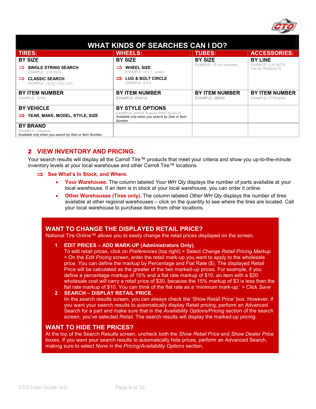

|                                                                                               | <b>WHAT KINDS OF SEARCHES CAN I DO?</b>                                                          |                                         |                                             |
|-----------------------------------------------------------------------------------------------|--------------------------------------------------------------------------------------------------|-----------------------------------------|---------------------------------------------|
| <b>TIRES:</b>                                                                                 | <b>WHEELS:</b>                                                                                   | <b>TUBES:</b>                           | <b>ACCESSORIES:</b>                         |
| <b>BY SIZE</b>                                                                                | <b>BY SIZE</b>                                                                                   | <b>BY SIZE</b>                          | <b>BY LINE</b>                              |
| <b>SINGLE STRING SEARCH</b><br>EXAMPLE: 2157015                                               | <b>WHEEL SIZE</b><br>$EXAMPLE: 15 \times 7$ and/or                                               | EXAMPLE: 15 (rim diameter)              | EXAMPLE: LUG NUTS,<br><b>VALVE PRODUCTS</b> |
| <b>CLASSIC SEARCH</b><br>EXAMPLE: [215] [70] [15]                                             | LUG & BOLT CIRCLE<br><b>EXAMPLE: 5-4.5</b>                                                       |                                         |                                             |
| <b>BY ITEM NUMBER</b><br>EXAMPLE: GT64                                                        | <b>BY ITEM NUMBER</b><br><b>EXAMPLE: 834414</b>                                                  | <b>BY ITEM NUMBER</b><br>EXAMPLE: 2BE64 | <b>BY ITEM NUMBER</b><br>EXAMPLE: CT900006  |
| <b>BY VEHICLE</b>                                                                             | <b>BY STYLE OPTIONS</b>                                                                          |                                         |                                             |
| YEAR, MAKE, MODEL, STYLE, SIZE                                                                | EXAMPLE: WHITE 8-spoke RWD Series 21<br>Available only when you search by Size or Item<br>Number |                                         |                                             |
| <b>BY BRAND</b><br>EXAMPLE: Cordovan<br>Available only when you search by Size or Item Number |                                                                                                  |                                         |                                             |

#### 2 **VIEW INVENTORY AND PRICING.**

Your search results will display all the Carroll Tire™ products that meet your criteria and show you up-to-the-minute inventory levels at your local warehouse and other Carroll Tire™ locations.

#### ⇒ **See What's In Stock, and Where.**

- **Your Warehouse.** The column labeled *Your WH Qty* displays the number of parts available at your local warehouse. If an item is in stock at your local warehouse, you can order it online.
- **Other Warehouses (Tires only).** The column labeled *Other WH Qty* displays the number of tires available at other regional warehouses – click on the quantity to see where the tires are located. Call your local warehouse to purchase items from other locations.

#### **WANT TO CHANGE THE DISPLAYED RETAIL PRICE?**

National Tire Online™ allows you to easily change the retail prices displayed on the screen.

#### **1 EDIT PRICES – ADD MARK-UP (Administrators Only).**

To edit retail prices, click on *Preferences* (top right) > Select *Change Retail Pricing Markup* > On the *Edit Pricing* screen, enter the retail mark-up you want to apply to the wholesale price. You can define the markup by Percentage and Flat Rate (\$). The displayed Retail Price will be calculated as the greater of the two marked-up prices. For example, if you define a percentage markup of 15% and a flat rate markup of \$10, an item with a \$20 wholesale cost will carry a retail price of \$30, because the 15% markup of \$3 is less than the flat rate markup of \$10. You can think of the flat rate as a 'minimum mark-up.' > Click *Save*

#### **2 SEARCH – DISPLAY RETAIL PRICE.**

Iin the search results screen, you can always check the 'Show Retail Price' box. However, if you want your search results to automatically display Retail pricing, perform an Advanced Search for a part and make sure that in the *Availability Options/Pricing* section of the search screen, you've selected *Retail*. The search results will display the marked-up pricing.

#### **WANT TO HIDE THE PRICES?**

At the top of the Search Results screen, uncheck both the *Show Retail Price* and *Show Dealer Price* boxes. If you want your search results to automatically hide prices, perform an Advanced Search, making sure to select *None* in the *Pricing/Availability Options* section.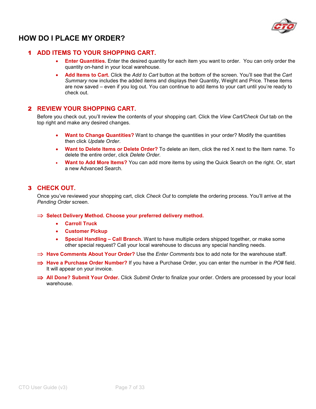

### **HOW DO I PLACE MY ORDER?**

#### 1 **ADD ITEMS TO YOUR SHOPPING CART.**

- **Enter Quantities.** Enter the desired quantity for each item you want to order. You can only order the quantity on-hand in your local warehouse.
- **Add Items to Cart.** Click the *Add to Cart* button at the bottom of the screen. You'll see that the *Cart Summary* now includes the added items and displays their Quantity, Weight and Price. These items are now saved – even if you log out. You can continue to add items to your cart until you're ready to check out.

#### 2 **REVIEW YOUR SHOPPING CART.**

Before you check out, you'll review the contents of your shopping cart. Click the *View Cart/Check Out* tab on the top right and make any desired changes.

- **Want to Change Quantities?** Want to change the quantities in your order? Modify the quantities then click *Update Order*.
- **Want to Delete Items or Delete Order?** To delete an item, click the red X next to the Item name. To delete the entire order, click *Delete Order.*
- **Want to Add More Items?** You can add more items by using the Quick Search on the right. Or, start a new Advanced Search.

#### 3 **CHECK OUT.**

Once you've reviewed your shopping cart, click *Check Out* to complete the ordering process. You'll arrive at the *Pending Order* screen.

⇒ **Select Delivery Method. Choose your preferred delivery method.** 

- **Carroll Truck**
- **Customer Pickup**
- **Special Handling Call Branch.** Want to have multiple orders shipped together, or make some other special request? Call your local warehouse to discuss any special handling needs.
- ⇒ **Have Comments About Your Order?** Use the *Enter Comments* box to add note for the warehouse staff.
- ⇒ **Have a Purchase Order Number?** If you have a Purchase Order, you can enter the number in the *PO#* field. It will appear on your invoice.
- ⇒ **All Done? Submit Your Order.** Click *Submit Order* to finalize your order. Orders are processed by your local warehouse.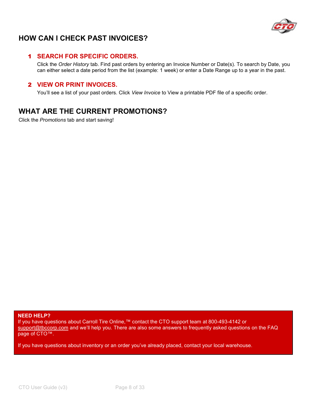

### **HOW CAN I CHECK PAST INVOICES?**

#### 1 **SEARCH FOR SPECIFIC ORDERS.**

Click the *Order History* tab. Find past orders by entering an Invoice Number or Date(s). To search by Date, you can either select a date period from the list (example: 1 week) or enter a Date Range up to a year in the past.

#### 2 **VIEW OR PRINT INVOICES.**

You'll see a list of your past orders. Click *View Invoice* to View a printable PDF file of a specific order.

### **WHAT ARE THE CURRENT PROMOTIONS?**

Click the *Promotions* tab and start saving!

**NEED HELP?**

If you have questions about Carroll Tire Online,™ contact the CTO support team at 800-493-4142 or support@tbccorp.com and we'll help you. There are also some answers to frequently asked questions on the FAQ page of CTO™.

If you have questions about inventory or an order you've already placed, contact your local warehouse.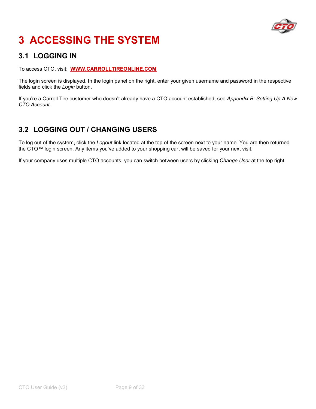

## **3 ACCESSING THE SYSTEM**

### **3.1 LOGGING IN**

To access CTO, visit: **WWW.CARROLLTIREONLINE.COM**

The login screen is displayed. In the login panel on the right, enter your given username and password in the respective fields and click the *Login* button.

If you're a Carroll Tire customer who doesn't already have a CTO account established, see *Appendix B: Setting Up A New CTO Account.*

## **3.2 LOGGING OUT / CHANGING USERS**

To log out of the system, click the *Logout* link located at the top of the screen next to your name. You are then returned the CTO™ login screen. Any items you've added to your shopping cart will be saved for your next visit.

If your company uses multiple CTO accounts, you can switch between users by clicking *Change User* at the top right.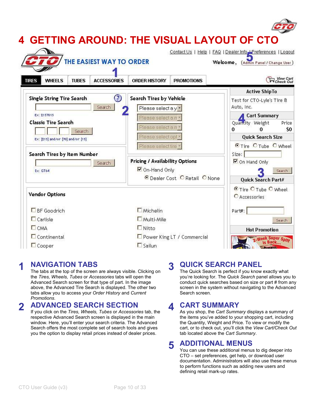

### **1 NAVIGATION TABS**

The tabs at the top of the screen are always visible. Clicking on the *Tires, Wheels, Tubes* or *Accessories* tabs will open the Advanced Search screen for that type of part. In the image above, the Advanced Tire Search is displayed. The other two tabs allow you to access your *Order History* and *Current Promotions*.

#### **2 ADVANCED SEARCH SECTION**

If you click on the *Tires, Wheels, Tubes* or *Accessories* tab, the respective Advanced Search screen is displayed in the main window. Here, you'll enter your search criteria. The Advanced Search offers the most complete set of search tools and gives you the option to display retail prices instead of dealer prices.

#### **3 QUICK SEARCH PANEL**

The Quick Search is perfect if you know exactly what you're looking for. The *Quick Search* panel allows you to conduct quick searches based on size or part # from any screen in the system without navigating to the Advanced Search screen.

#### **4 CART SUMMARY**

As you shop, the *Cart Summary* displays a summary of the items you've added to your shopping cart, including the Quantity, Weight and Price. To view or modify the cart, or to check out, you'll click the *View Cart/Check Out* tab located above the *Cart Summary*.

#### **5 ADDITIONAL MENUS**

You can use these additional menus to dig deeper into CTO – set preferences, get help, or download user documentation. Administrators will also use these menus to perform functions such as adding new users and defining retail mark-up rates.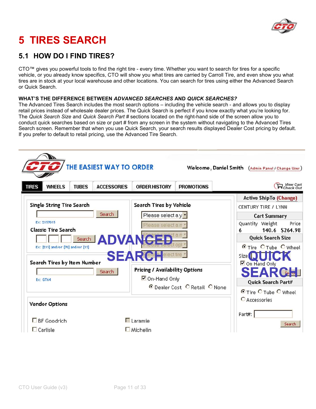

# **5 TIRES SEARCH**

### **5.1 HOW DO I FIND TIRES?**

CTO™ gives you powerful tools to find the right tire - every time. Whether you want to search for tires for a specific vehicle, or you already know specifics, CTO will show you what tires are carried by Carroll Tire, and even show you what tires are in stock at your local warehouse and other locations. You can search for tires using either the Advanced Search or Quick Search.

#### **WHAT'S THE DIFFERENCE BETWEEN** *ADVANCED SEARCHES* **AND** *QUICK SEARCHES?*

The Advanced Tires Search includes the most search options – including the vehicle search - and allows you to display retail prices instead of wholesale dealer prices. The Quick Search is perfect if you know exactly what you're looking for. The *Quick Search Size* and *Quick Search Part #* sections located on the right-hand side of the screen allow you to conduct quick searches based on size or part # from any screen in the system without navigating to the Advanced Tires Search screen. Remember that when you use Quick Search, your search results displayed Dealer Cost pricing by default. If you prefer to default to retail pricing, use the Advanced Tire Search.

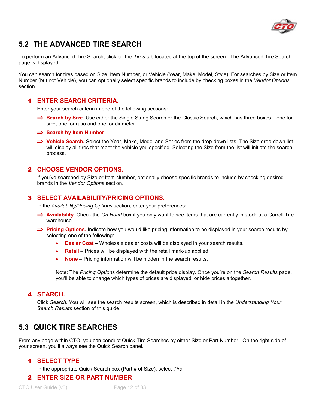

### **5.2 THE ADVANCED TIRE SEARCH**

To perform an Advanced Tire Search, click on the *Tires* tab located at the top of the screen. The Advanced Tire Search page is displayed.

You can search for tires based on Size, Item Number, or Vehicle (Year, Make, Model, Style). For searches by Size or Item Number (but not Vehicle), you can optionally select specific brands to include by checking boxes in the *Vendor Options* section.

#### 1 **ENTER SEARCH CRITERIA.**

Enter your search criteria in one of the following sections:

- ⇒ **Search by Size.** Use either the Single String Search or the Classic Search, which has three boxes one for size, one for ratio and one for diameter.
- ⇒ **Search by Item Number**
- ⇒ **Vehicle Search.** Select the Year, Make, Model and Series from the drop-down lists. The Size drop-down list will display all tires that meet the vehicle you specified. Selecting the Size from the list will initiate the search process.

#### 2 **CHOOSE VENDOR OPTIONS.**

If you've searched by Size or Item Number, optionally choose specific brands to include by checking desired brands in the *Vendor Options* section.

#### 3 **SELECT AVAILABILITY/PRICING OPTIONS.**

In the *Availability/Pricing Options* section, enter your preferences:

- ⇒ **Availability.** Check the *On Hand* box if you only want to see items that are currently in stock at a Carroll Tire warehouse
- ⇒ **Pricing Options.** Indicate how you would like pricing information to be displayed in your search results by selecting one of the following:
	- **Dealer Cost** Wholesale dealer costs will be displayed in your search results.
	- **Retail** Prices will be displayed with the retail mark-up applied.
	- **None**  Pricing information will be hidden in the search results.

Note: The *Pricing Options* determine the default price display. Once you're on the *Search Results* page, you'll be able to change which types of prices are displayed, or hide prices altogether.

#### 4 **SEARCH.**

Click *Search*. You will see the search results screen, which is described in detail in the *Understanding Your Search Results* section of this guide.

### **5.3 QUICK TIRE SEARCHES**

From any page within CTO, you can conduct Quick Tire Searches by either Size or Part Number. On the right side of your screen, you'll always see the Quick Search panel.

#### 1 **SELECT TYPE**

In the appropriate Quick Search box (Part # of Size), select *Tire*.

#### 2 **ENTER SIZE OR PART NUMBER**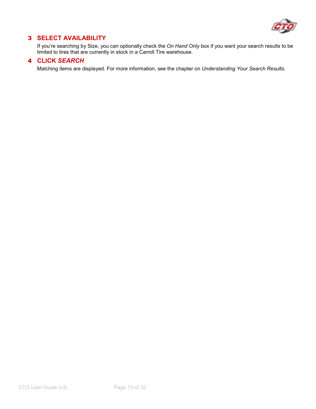

### 3 **SELECT AVAILABILITY**

If you're searching by Size, you can optionally check the *On Hand Only* box if you want your search results to be limited to tires that are currently in stock in a Carroll Tire warehouse.

#### 4 **CLICK** *SEARCH*

Matching items are displayed. For more information, see the chapter on *Understanding Your Search Results.*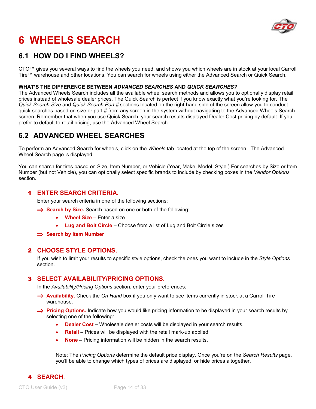

## **6 WHEELS SEARCH**

### **6.1 HOW DO I FIND WHEELS?**

CTO™ gives you several ways to find the wheels you need, and shows you which wheels are in stock at your local Carroll Tire™ warehouse and other locations. You can search for wheels using either the Advanced Search or Quick Search.

#### **WHAT'S THE DIFFERENCE BETWEEN** *ADVANCED SEARCHES* **AND** *QUICK SEARCHES?*

The Advanced Wheels Search includes all the available wheel search methods and allows you to optionally display retail prices instead of wholesale dealer prices. The Quick Search is perfect if you know exactly what you're looking for. The *Quick Search Size* and *Quick Search Part #* sections located on the right-hand side of the screen allow you to conduct quick searches based on size or part # from any screen in the system without navigating to the Advanced Wheels Search screen. Remember that when you use Quick Search, your search results displayed Dealer Cost pricing by default. If you prefer to default to retail pricing, use the Advanced Wheel Search.

### **6.2 ADVANCED WHEEL SEARCHES**

To perform an Advanced Search for wheels, click on the *Wheels* tab located at the top of the screen. The Advanced Wheel Search page is displayed.

You can search for tires based on Size, Item Number, or Vehicle (Year, Make, Model, Style.) For searches by Size or Item Number (but not Vehicle), you can optionally select specific brands to include by checking boxes in the *Vendor Options* section.

#### 1 **ENTER SEARCH CRITERIA.**

Enter your search criteria in one of the following sections:

- ⇒ **Search by Size.** Search based on one or both of the following:
	- **Wheel Size** Enter a size
	- **Lug and Bolt Circle**  Choose from a list of Lug and Bolt Circle sizes
- ⇒ **Search by Item Number**

#### 2 **CHOOSE STYLE OPTIONS.**

If you wish to limit your results to specific style options, check the ones you want to include in the *Style Options* section.

#### 3 **SELECT AVAILABILITY/PRICING OPTIONS.**

In the *Availability/Pricing Options* section, enter your preferences:

- ⇒ **Availability.** Check the *On Hand* box if you only want to see items currently in stock at a Carroll Tire warehouse.
- ⇒ **Pricing Options.** Indicate how you would like pricing information to be displayed in your search results by selecting one of the following:
	- **Dealer Cost** Wholesale dealer costs will be displayed in your search results.
	- **Retail** Prices will be displayed with the retail mark-up applied.
	- **None**  Pricing information will be hidden in the search results.

Note: The *Pricing Options* determine the default price display. Once you're on the *Search Results* page, you'll be able to change which types of prices are displayed, or hide prices altogether.

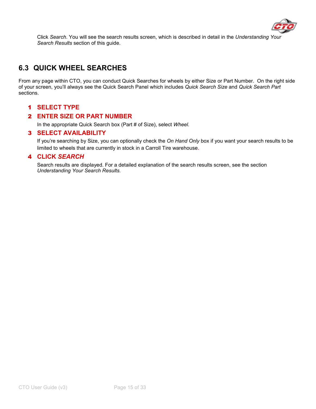

Click *Search*. You will see the search results screen, which is described in detail in the *Understanding Your Search Results* section of this guide.

## **6.3 QUICK WHEEL SEARCHES**

From any page within CTO, you can conduct Quick Searches for wheels by either Size or Part Number. On the right side of your screen, you'll always see the Quick Search Panel which includes *Quick Search Size* and *Quick Search Part* sections.

#### 1 **SELECT TYPE**

#### 2 **ENTER SIZE OR PART NUMBER**

In the appropriate Quick Search box (Part # of Size), select *Wheel.*

#### 3 **SELECT AVAILABILITY**

If you're searching by Size, you can optionally check the *On Hand Only* box if you want your search results to be limited to wheels that are currently in stock in a Carroll Tire warehouse.

#### 4 **CLICK** *SEARCH*

Search results are displayed. For a detailed explanation of the search results screen, see the section *Understanding Your Search Results.*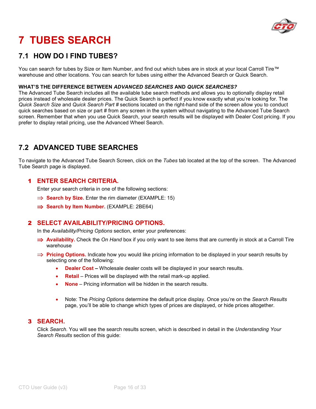

# **7 TUBES SEARCH**

### **7.1 HOW DO I FIND TUBES?**

You can search for tubes by Size or Item Number, and find out which tubes are in stock at your local Carroll Tire™ warehouse and other locations. You can search for tubes using either the Advanced Search or Quick Search.

#### **WHAT'S THE DIFFERENCE BETWEEN** *ADVANCED SEARCHES* **AND** *QUICK SEARCHES?*

The Advanced Tube Search includes all the available tube search methods and allows you to optionally display retail prices instead of wholesale dealer prices. The Quick Search is perfect if you know exactly what you're looking for. The *Quick Search Size* and *Quick Search Part #* sections located on the right-hand side of the screen allow you to conduct quick searches based on size or part # from any screen in the system without navigating to the Advanced Tube Search screen. Remember that when you use Quick Search, your search results will be displayed with Dealer Cost pricing. If you prefer to display retail pricing, use the Advanced Wheel Search.

### **7.2 ADVANCED TUBE SEARCHES**

To navigate to the Advanced Tube Search Screen, click on the *Tubes* tab located at the top of the screen. The Advanced Tube Search page is displayed.

#### 1 **ENTER SEARCH CRITERIA.**

Enter your search criteria in one of the following sections:

- ⇒ **Search by Size.** Enter the rim diameter (EXAMPLE: 15)
- ⇒ **Search by Item Number.** (EXAMPLE: 2BE64)

#### 2 **SELECT AVAILABILITY/PRICING OPTIONS.**

In the *Availability/Pricing Options* section, enter your preferences:

- ⇒ **Availability.** Check the *On Hand* box if you only want to see items that are currently in stock at a Carroll Tire warehouse
- ⇒ **Pricing Options.** Indicate how you would like pricing information to be displayed in your search results by selecting one of the following:
	- **Dealer Cost** Wholesale dealer costs will be displayed in your search results.
	- **Retail**  Prices will be displayed with the retail mark-up applied.
	- **None**  Pricing information will be hidden in the search results.
	- Note: The *Pricing Options* determine the default price display. Once you're on the *Search Results* page, you'll be able to change which types of prices are displayed, or hide prices altogether.

#### 3 **SEARCH.**

Click *Search*. You will see the search results screen, which is described in detail in the *Understanding Your Search Results* section of this guide: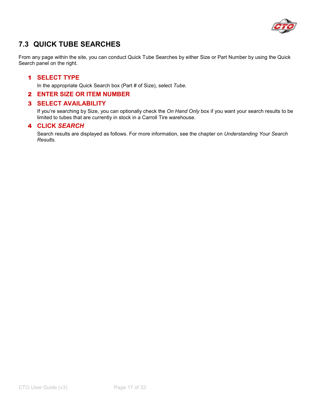

## **7.3 QUICK TUBE SEARCHES**

From any page within the site, you can conduct Quick Tube Searches by either Size or Part Number by using the Quick Search panel on the right.

#### 1 **SELECT TYPE**

In the appropriate Quick Search box (Part # of Size), select *Tube.*

#### 2 **ENTER SIZE OR ITEM NUMBER**

#### 3 **SELECT AVAILABILITY**

If you're searching by Size, you can optionally check the *On Hand Only* box if you want your search results to be limited to tubes that are currently in stock in a Carroll Tire warehouse.

#### 4 **CLICK** *SEARCH*

Search results are displayed as follows. For more information, see the chapter on *Understanding Your Search Results.*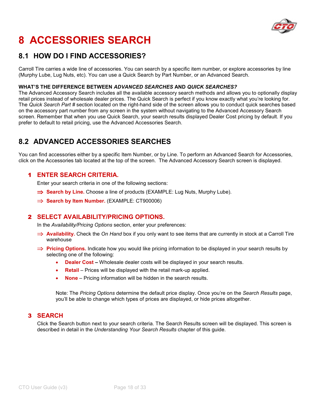

# **8 ACCESSORIES SEARCH**

### **8.1 HOW DO I FIND ACCESSORIES?**

Carroll Tire carries a wide line of accessories. You can search by a specific item number, or explore accessories by line (Murphy Lube, Lug Nuts, etc). You can use a Quick Search by Part Number, or an Advanced Search.

#### **WHAT'S THE DIFFERENCE BETWEEN** *ADVANCED SEARCHES* **AND** *QUICK SEARCHES?*

The Advanced Accessory Search includes all the available accessory search methods and allows you to optionally display retail prices instead of wholesale dealer prices. The Quick Search is perfect if you know exactly what you're looking for. The *Quick Search Part #* section located on the right-hand side of the screen allows you to conduct quick searches based on the accessory part number from any screen in the system without navigating to the Advanced Accessory Search screen. Remember that when you use Quick Search, your search results displayed Dealer Cost pricing by default. If you prefer to default to retail pricing, use the Advanced Accessories Search.

### **8.2 ADVANCED ACCESSORIES SEARCHES**

You can find accessories either by a specific Item Number, or by Line. To perform an Advanced Search for Accessories, click on the Accessories tab located at the top of the screen. The Advanced Accessory Search screen is displayed.

#### 1 **ENTER SEARCH CRITERIA.**

Enter your search criteria in one of the following sections:

- ⇒ **Search by Line.** Choose a line of products (EXAMPLE: Lug Nuts, Murphy Lube).
- ⇒ **Search by Item Number.** (EXAMPLE: CT900006)

#### 2 **SELECT AVAILABILITY/PRICING OPTIONS.**

In the *Availability/Pricing Options* section, enter your preferences:

- ⇒ **Availability.** Check the *On Hand* box if you only want to see items that are currently in stock at a Carroll Tire warehouse
- ⇒ **Pricing Options.** Indicate how you would like pricing information to be displayed in your search results by selecting one of the following:
	- **Dealer Cost** Wholesale dealer costs will be displayed in your search results.
	- **Retail**  Prices will be displayed with the retail mark-up applied.
	- **None** Pricing information will be hidden in the search results.

Note: The *Pricing Options* determine the default price display. Once you're on the *Search Results* page, you'll be able to change which types of prices are displayed, or hide prices altogether.

#### 3 **SEARCH**

Click the Search button next to your search criteria. The Search Results screen will be displayed. This screen is described in detail in the *Understanding Your Search Results* chapter of this guide.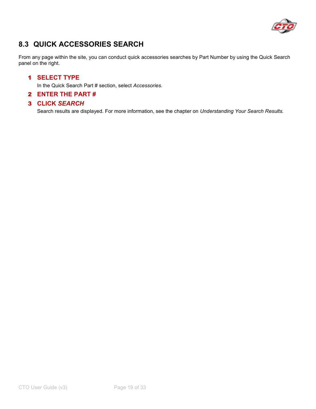

## **8.3 QUICK ACCESSORIES SEARCH**

From any page within the site, you can conduct quick accessories searches by Part Number by using the Quick Search panel on the right.

#### 1 **SELECT TYPE**

In the Quick Search Part # section, select *Accessories.* 

#### 2 **ENTER THE PART #**

#### 3 **CLICK** *SEARCH*

Search results are displayed. For more information, see the chapter on *Understanding Your Search Results.*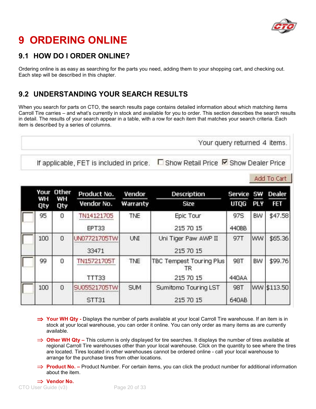

## **9 ORDERING ONLINE**

### **9.1 HOW DO I ORDER ONLINE?**

Ordering online is as easy as searching for the parts you need, adding them to your shopping cart, and checking out. Each step will be described in this chapter.

### **9.2 UNDERSTANDING YOUR SEARCH RESULTS**

When you search for parts on CTO, the search results page contains detailed information about which matching items Carroll Tire carries – and what's currently in stock and available for you to order. This section describes the search results in detail. The results of your search appear in a table, with a row for each item that matches your search criteria. Each item is described by a series of columns.

Your query returned 4 items. □ Show Retail Price M Show Dealer Price If applicable, FET is included in price.

Add To Cart

| Your      | Other          | Product No.  | Vendor     | <b>Description</b>                    | Service SW Dealer |            |             |
|-----------|----------------|--------------|------------|---------------------------------------|-------------------|------------|-------------|
| WH<br>Qty | WH<br>Qty      | Vendor No.   | Warranty   | Size                                  | UTQG              | <b>PLY</b> | ŦET         |
| 95        | 0              | TN14121705   | <b>TNE</b> | Epic Tour                             | 97S               | BW         | \$47.58     |
|           |                | EPT33        |            | 215 70 15                             | 440BB             |            |             |
| 100       | $\Omega$       | UN0772170STW | UNI        | Uni Tiger Paw AWP II                  | 97T               | WW         | \$65.36     |
|           |                | 33471        |            | 215 70 15                             |                   |            |             |
| 99        | 0              | TN15721705T  | TNE        | <b>TBC Tempest Touring Plus</b><br>IΚ | 98T               | BW         | \$99.76     |
|           |                | <b>TTT33</b> |            | 215 70 15                             | 440AA             |            |             |
| 100       | $\overline{0}$ | SU05521705TW | <b>SUM</b> | Sumitomo Touring LST                  | 98T               |            | WW \$113.50 |
|           |                | STT31        |            | 215 70 15                             | 640AB             |            |             |

- ⇒ **Your WH Qty** Displays the number of parts available at your local Carroll Tire warehouse. If an item is in stock at your local warehouse, you can order it online. You can only order as many items as are currently available.
- ⇒ **Other WH Qty** This column is only displayed for tire searches. It displays the number of tires available at regional Carroll Tire warehouses other than your local warehouse. Click on the quantity to see where the tires are located. Tires located in other warehouses cannot be ordered online - call your local warehouse to arrange for the purchase tires from other locations.
- ⇒ **Product No.** Product Number. For certain items, you can click the product number for additional information about the item.

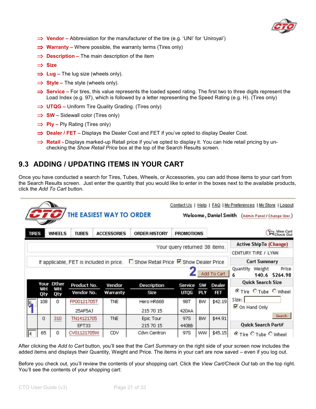

- ⇒ **Vendor** Abbreviation for the manufacturer of the tire (e.g. 'UNI' for 'Uniroyal')
- ⇒ **Warranty** Where possible, the warranty terms (Tires only)
- ⇒ **Description** The main description of the item
- ⇒ **Size**
- ⇒ **Lug** The lug size (wheels only).
- ⇒ **Style** The style (wheels only).
- ⇒ **Service** For tires, this value represents the loaded speed rating. The first two to three digits represent the Load Index (e.g. 97), which is followed by a letter representing the Speed Rating (e.g. H). (Tires only)
- ⇒ **UTQG** Uniform Tire Quality Grading. (Tires only)
- ⇒ **SW** Sidewall color (Tires only)
- ⇒ **Ply** Ply Rating (Tires only)
- ⇒ **Dealer / FET** Displays the Dealer Cost and FET if you've opted to display Dealer Cost.
- ⇒ **Retail** Displays marked-up Retail price if you've opted to display it. You can hide retail pricing by unchecking the *Show Retail Price* box at the top of the Search Results screen.

### **9.3 ADDING / UPDATING ITEMS IN YOUR CART**

Once you have conducted a search for Tires, Tubes, Wheels, or Accessories, you can add those items to your cart from the Search Results screen. Just enter the quantity that you would like to enter in the boxes next to the available products, click the *Add To Cart* button.

|              |     |                  | THE EASIEST WAY TO ORDER                 |                    | Contact Us   Help   FAQ   My Preferences   My Store   Loqout<br>Welcome, Daniel Smith (Admin Panel / Change User) |                               |            |             |                                                                      |  |  |
|--------------|-----|------------------|------------------------------------------|--------------------|-------------------------------------------------------------------------------------------------------------------|-------------------------------|------------|-------------|----------------------------------------------------------------------|--|--|
| <b>TIRES</b> |     | <b>WHEELS</b>    | <b>TUBES</b>                             | <b>ACCESSORIES</b> | <b>ORDER HISTORY</b>                                                                                              | <b>PROMOTIONS</b>             |            |             | Check Out                                                            |  |  |
|              |     |                  |                                          |                    |                                                                                                                   | Your query returned 38 items. |            |             | <b>Active ShipTo (Change)</b><br>CENTURY TIRE / LYNN                 |  |  |
|              |     |                  | If applicable, FET is included in price. |                    | □ Show Retail Price ■ Show Dealer Price                                                                           |                               |            | Add To Cart | <b>Cart Summary</b><br>Weight<br>Quantity<br>Price<br>140.6 \$264.98 |  |  |
|              | wн  | Your Other<br>WH | Product No.                              | Vendor             | <b>Description</b>                                                                                                | <b>Service</b>                | sw         | Dealer      | <b>Quick Search Size</b>                                             |  |  |
|              | Qty | Qty              | Vendor No.                               | Warranty           | <b>Size</b>                                                                                                       | <b>UTQG</b>                   | <b>PLY</b> | <b>FET</b>  | <b>O</b> Tire C Tube C Wheel                                         |  |  |
| $6 -$        | 108 | 0                | FP00121705T<br>25AF5AJ                   | <b>TNE</b>         | Hero HR668<br>215 70 15                                                                                           | 98T<br>420AA                  | BW         | \$42.19     | Size:<br>On Hand Only                                                |  |  |
|              | 0   | 310              | TN14121705<br>EPT33                      | TNE                | Epic Tour<br>215 70 15                                                                                            | <b>97S</b><br>440BB           | <b>BW</b>  | \$44.91     | Search<br>Quick Search Part#                                         |  |  |
| $\vert$ 4    | 65  | 0                | CV01121705W                              | CDV                | Cdvn Centron                                                                                                      | 97S                           | <b>WW</b>  | \$45.15     | C Tire C Tube C Wheel                                                |  |  |

After clicking the *Add to Cart* button, you'll see that the *Cart Summary* on the right side of your screen now includes the added items and displays their Quantity, Weight and Price. The items in your cart are now saved – even if you log out.

Before you check out, you'll review the contents of your shopping cart. Click the *View Cart/Check Out* tab on the top right. You'll see the contents of your shopping cart: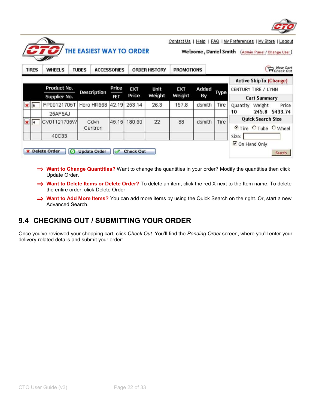

|                |                         |                                | THE EASIEST WAY TO ORDER |                    |                  | Welcome, Daniel Smith (Admin Panel / Change User) |                   |             |      |                       |                                                      |                         |  |
|----------------|-------------------------|--------------------------------|--------------------------|--------------------|------------------|---------------------------------------------------|-------------------|-------------|------|-----------------------|------------------------------------------------------|-------------------------|--|
|                | <b>TIRES</b>            | <b>WHEELS</b>                  | <b>TUBES</b>             | <b>ACCESSORIES</b> |                  | <b>ORDER HISTORY</b>                              | <b>PROMOTIONS</b> |             |      |                       |                                                      | Pcheck Out              |  |
|                |                         | Product No.<br>Supplier No.    | <b>Description</b>       | Price<br>FET       | EXT<br>Price     | Unit<br>Weight                                    | EXT<br>Weight     | Added<br>By | Type | CENTURY TIRE / LYNN   | <b>Active ShipTo (Change)</b><br><b>Cart Summary</b> |                         |  |
| $\mathbf{X}$ 6 |                         | FP00121705T<br>25AF5AJ         | Hero HR668 42.19         |                    | 253.14           | 26.3                                              | 157.8             | dsmith      | Tire | Quantity<br>10        | Weight                                               | Price<br>245.8 \$433.74 |  |
|                | $\mathbf{\mathbf{X}}$ 4 | CV01121705W                    | Cdvn<br>Centron          | 45.15              | 180.60           | 22                                                | 88                | dsmith      | Tire |                       | <b>Quick Search Size</b>                             | CTire CTube OWheel      |  |
|                |                         | 40C33<br><b>X</b> Delete Order | <b>Update Order</b>      |                    | <b>Check Out</b> |                                                   |                   |             |      | Size:<br>On Hand Only |                                                      | Search                  |  |

- ⇒ **Want to Change Quantities?** Want to change the quantities in your order? Modify the quantities then click Update Order.
- ⇒ **Want to Delete Items or Delete Order?** To delete an item, click the red X next to the Item name. To delete the entire order, click Delete Order
- ⇒ **Want to Add More Items?** You can add more items by using the Quick Search on the right. Or, start a new Advanced Search.

### **9.4 CHECKING OUT / SUBMITTING YOUR ORDER**

Once you've reviewed your shopping cart, click *Check Out*. You'll find the *Pending Order* screen, where you'll enter your delivery-related details and submit your order: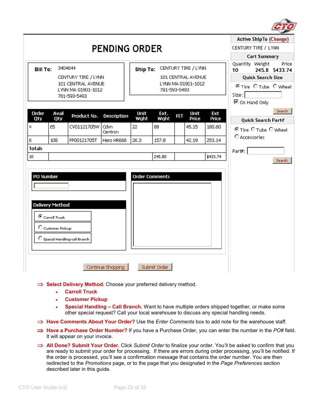

|                 |                                                              |                                                          |                    |                       |              |     |                                           |              | <b>Active ShipTo (Change)</b>                                                |
|-----------------|--------------------------------------------------------------|----------------------------------------------------------|--------------------|-----------------------|--------------|-----|-------------------------------------------|--------------|------------------------------------------------------------------------------|
|                 |                                                              |                                                          | PENDING ORDER      |                       |              |     |                                           |              | CENTURY TIRE / LYNN                                                          |
|                 |                                                              |                                                          |                    |                       |              |     |                                           |              | <b>Cart Summary</b>                                                          |
| <b>Bill To:</b> |                                                              | 3404644<br>CENTURY TIRE / LYNN                           |                    | Ship To:              |              |     | CENTURY TIRE / LYNN<br>101 CENTRAL AVENUE |              | Quantity Weight<br>Price<br>245.8 \$433.74<br>10<br><b>Quick Search Size</b> |
|                 |                                                              | 101 CENTRAL AVENUE<br>LYNN MA 01901-1012<br>781-593-5493 |                    |                       | 781-593-5493 |     | LYNN MA 01901-1012                        |              | C Tire C Tube C Wheel<br>Size:<br>On Hand Only                               |
| Order<br>Qty    | Avail<br>Qty                                                 | Product No.                                              | <b>Description</b> | Unit<br>Wght          | Ext.<br>Wght | FET | <b>Unit</b><br>Price                      | Ext<br>Price | Search<br>Quick Search Part#                                                 |
| $\overline{4}$  | 65                                                           | CV01121705W                                              | Cdvn<br>Centron    | 22                    | 88           |     | 45.15                                     | 180.60       | <b>C</b> Tire C Tube C Wheel                                                 |
| 6               | 108                                                          | FP00121705T                                              | Hero HR668         | 26.3                  | 157.8        |     | 42.19                                     | 253.14       | C Accessories                                                                |
| <b>Totals</b>   |                                                              |                                                          |                    |                       |              |     |                                           |              | Part#:                                                                       |
| 10              |                                                              |                                                          |                    |                       | 245.80       |     |                                           | \$433.74     | Search                                                                       |
| PO Number       | <b>Delivery Method</b><br>Carroll Truck<br>C Customer Pickup | C Special Handling-call Branch                           |                    | <b>Order Comments</b> |              |     |                                           |              |                                                                              |
|                 |                                                              |                                                          | Continue Shopping  |                       | Submit Order |     |                                           |              |                                                                              |

- ⇒ **Select Delivery Method.** Choose your preferred delivery method.
	- **Carroll Truck**
	- **Customer Pickup**
	- **Special Handling Call Branch.** Want to have multiple orders shipped together, or make some other special request? Call your local warehouse to discuss any special handling needs.
- ⇒ **Have Comments About Your Order?** Use the *Enter Comments* box to add note for the warehouse staff.
- ⇒ **Have a Purchase Order Number?** If you have a Purchase Order, you can enter the number in the *PO#* field. It will appear on your invoice.
- ⇒ **All Done? Submit Your Order.** Click *Submit Order* to finalize your order. You'll be asked to confirm that you are ready to submit your order for processing. If there are errors during order processing, you'll be notified. If the order is processed, you'll see a confirmation message that contains the order number. You are then redirected to the *Promotions* page, or to the page that you designated in the *Page Preferences* section described later in this guide.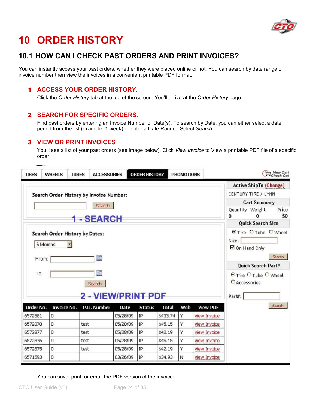

## **10 ORDER HISTORY**

### **10.1 HOW CAN I CHECK PAST ORDERS AND PRINT INVOICES?**

You can instantly access your past orders, whether they were placed online or not. You can search by date range or invoice number then view the invoices in a convenient printable PDF format.

#### 1 **ACCESS YOUR ORDER HISTORY.**

Click the *Order History* tab at the top of the screen. You'll arrive at the *Order History* page.

#### 2 **SEARCH FOR SPECIFIC ORDERS.**

Find past orders by entering an Invoice Number or Date(s). To search by Date, you can either select a date period from the list (example: 1 week) or enter a Date Range. Select *Search*.

#### 3 **VIEW OR PRINT INVOICES**

You'll see a list of your past orders (see image below). Click *View Invoice* to View a printable PDF file of a specific order:

| <b>TIRES</b>      | <b>TUBES</b><br><b>WHEELS</b>  | <b>ACCESSORIES</b>                      |          | ORDER HISTORY |          | <b>PROMOTIONS</b> |                     |                             |                               | Mew Cart<br>■Check Out  |
|-------------------|--------------------------------|-----------------------------------------|----------|---------------|----------|-------------------|---------------------|-----------------------------|-------------------------------|-------------------------|
|                   |                                |                                         |          |               |          |                   |                     |                             | <b>Active ShipTo (Change)</b> |                         |
|                   |                                | Search Order History by Invoice Number: |          |               |          |                   |                     |                             | CENTURY TIRE / LYNN           |                         |
|                   |                                | Search                                  |          |               |          |                   |                     |                             | <b>Cart Summary</b>           |                         |
|                   |                                |                                         |          |               |          |                   |                     | Quantity Weight<br>$\bf{0}$ | o                             | Price<br>S <sub>0</sub> |
|                   |                                | <b>1-SEARCH</b>                         |          |               |          |                   |                     |                             | <b>Quick Search Size</b>      |                         |
| 6 Months<br>From: | Search Order History by Dates: | m                                       |          |               |          |                   |                     | Size:<br>On Hand Only       | <b>O</b> Tire C Tube C Wheel  | Search                  |
|                   |                                |                                         |          |               |          |                   |                     |                             | Quick Search Part#            |                         |
| To:               |                                | 讑<br>Search                             |          |               |          |                   |                     | C Accessories               | © Tire C Tube C Wheel         |                         |
| Order No.         | Invoice No.                    | 2 - VIEW/PRINT PDF<br>P.O. Number       | Date     | <b>Status</b> | Total    | Web               | <b>View PDF</b>     | Part#:                      |                               | Search                  |
| 6572881           | 0                              |                                         | 05/28/09 | ΙP            | \$433.74 | Υ                 | <b>View Invoice</b> |                             |                               |                         |
| 6572878           | $\mathbf 0$                    | test                                    | 05/28/09 | IP            | \$45.15  | Ÿ                 | <b>View Invoice</b> |                             |                               |                         |
| 6572877           | 0                              | test                                    | 05/28/09 | IP            | \$42.19  | Ÿ                 | <b>View Invoice</b> |                             |                               |                         |
| 6572876           | 0                              | test                                    | 05/28/09 | ΙP            | \$45.15  | Υ                 | <b>View Invoice</b> |                             |                               |                         |
| 6572875           | 0                              | test                                    | 05/28/09 | IP            | \$42.19  | Y                 | <b>View Invoice</b> |                             |                               |                         |
| 6571593           | 0                              |                                         | 03/26/09 | IP            | \$34.93  | N                 | <b>View Invoice</b> |                             |                               |                         |

You can save, print, or email the PDF version of the invoice: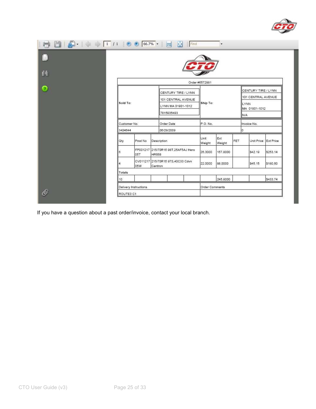

|     |              |         |             |                                     |  | Order #6572881 |               |     |                                                    |                      |  |
|-----|--------------|---------|-------------|-------------------------------------|--|----------------|---------------|-----|----------------------------------------------------|----------------------|--|
|     |              |         |             | CENTURY TIRE / LYNN                 |  |                |               |     | CENTURY TIRE / LYNN                                |                      |  |
|     |              |         |             | 101 CENTRAL AVENUE                  |  | Ship To:       |               |     | 101 CENTRAL AVENUE<br><b>LYNN</b><br>MA 01901-1012 |                      |  |
|     | Sold To:     |         |             | LYNN MA 01901-1012                  |  |                |               |     |                                                    |                      |  |
|     |              |         |             | 7815935493                          |  |                |               |     | N/A                                                |                      |  |
|     | Customer No. |         |             | Order Date                          |  | P.O. No.       |               |     | Invoice No.                                        |                      |  |
|     | 3404644      |         |             | 05/28/2009                          |  |                |               |     | o                                                  |                      |  |
| Qty |              | Prod No | Description |                                     |  | Unit<br>Weight | Ext<br>Weight | FET |                                                    | Unit Price Ext Price |  |
| 6   | 05T          |         | HR668       | FP001217 215/70R15 98T.25AF5AJ Hero |  | 26,3000        | 157,8000      |     | \$42.19                                            | \$253.14             |  |
| 4   | 05W          |         | Centron     | CV011217 215/70R15 97S,40C33 Cdvn   |  | 22,0000        | 88,0000       |     | \$45.15                                            | \$180.60             |  |
|     | Totals       |         |             |                                     |  |                |               |     |                                                    |                      |  |
|     |              |         |             |                                     |  |                |               |     |                                                    |                      |  |

If you have a question about a past order/invoice, contact your local branch.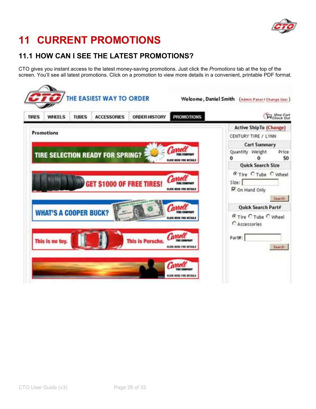

## **11 CURRENT PROMOTIONS**

### **11.1 HOW CAN I SEE THE LATEST PROMOTIONS?**

CTO gives you instant access to the latest money-saving promotions. Just click the *Promotions* tab at the top of the screen. You'll see all latest promotions. Click on a promotion to view more details in a convenient, printable PDF format.

| Check Out                                                                                     | <b>PROMOTIONS</b>                        | <b>ORDER HISTORY</b>    | <b>ACCESSORIES</b>                      | <b>TUBES</b> | <b>WHEELS</b>                | <b>TIRES</b> |
|-----------------------------------------------------------------------------------------------|------------------------------------------|-------------------------|-----------------------------------------|--------------|------------------------------|--------------|
| <b>Active ShipTo (Change)</b><br>CENTURY TIRE / LYNN                                          |                                          |                         |                                         |              | Promotions                   |              |
| <b>Cart Summary</b><br>Quantity Weight<br>Price<br>\$0<br>û                                   | Carrolt<br>CLICK BERE FOR DETAILS        |                         | <b>TIRE SELECTION READY FOR SPRING?</b> |              |                              |              |
| <b>Quick Search Size</b><br><b>C</b> Tire C Tube C Wheel<br>Size:<br>P On Hand Only<br>Search | Carro<br><b>CLICK REND FOR DETAILS</b>   |                         | GET \$1000 OF FREE TIRES!               |              |                              |              |
| Quick Search Part#<br><b>C</b> Tire C Tube C Wheel<br>C Accessories                           | Carroll<br><b>ELICK MENS FOR DETAILS</b> |                         |                                         |              | <b>WHAT'S A COOPER BUCK?</b> |              |
| Part#:<br>Search                                                                              | Carroll<br>ELICE RENE FOR DETAILS        | <b>This is Porsche.</b> |                                         |              | This is no toy.              |              |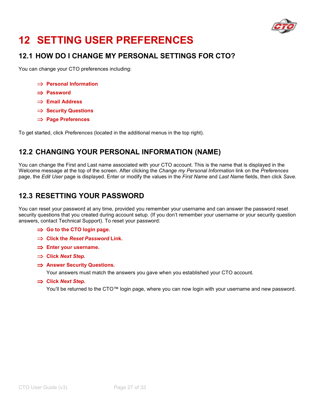

## **12 SETTING USER PREFERENCES**

### **12.1 HOW DO I CHANGE MY PERSONAL SETTINGS FOR CTO?**

You can change your CTO preferences including:

- ⇒ **Personal Information**
- ⇒ **Password**
- ⇒ **Email Address**
- ⇒ **Security Questions**
- ⇒ **Page Preferences**

To get started, click *Preferences* (located in the additional menus in the top right).

### **12.2 CHANGING YOUR PERSONAL INFORMATION (NAME)**

You can change the First and Last name associated with your CTO account. This is the name that is displayed in the Welcome message at the top of the screen. After clicking the *Change my Personal Information* link on the *Preferences* page, the *Edit User* page is displayed. Enter or modify the values in the *First Name* and *Last Name* fields, then click *Save.*

### **12.3 RESETTING YOUR PASSWORD**

You can reset your password at any time, provided you remember your username and can answer the password reset security questions that you created during account setup. (If you don't remember your username or your security question answers, contact Technical Support). To reset your password:

- ⇒ **Go to the CTO login page.**
- ⇒ **Click the** *Reset Password* **Link.**
- ⇒ **Enter your username.**
- ⇒ **Click** *Next Step.*
- ⇒ **Answer Security Questions.**

Your answers must match the answers you gave when you established your CTO account.

⇒ **Click** *Next Step***.** 

You'll be returned to the CTO™ login page, where you can now login with your username and new password.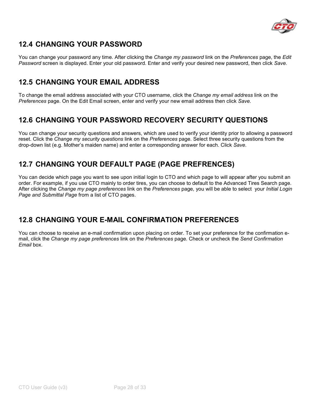

### **12.4 CHANGING YOUR PASSWORD**

You can change your password any time. After clicking the *Change my password* link on the *Preferences* page, the *Edit Password* screen is displayed. Enter your old password. Enter and verify your desired new password, then click *Save.*

### **12.5 CHANGING YOUR EMAIL ADDRESS**

To change the email address associated with your CTO username, click the *Change my email address* link on the *Preferences* page. On the Edit Email screen, enter and verify your new email address then click *Save.*

### **12.6 CHANGING YOUR PASSWORD RECOVERY SECURITY QUESTIONS**

You can change your security questions and answers, which are used to verify your identity prior to allowing a password reset. Click the *Change my security questions* link on the *Preferences* page. Select three security questions from the drop-down list (e.g. Mother's maiden name) and enter a corresponding answer for each. Click *Save*.

### **12.7 CHANGING YOUR DEFAULT PAGE (PAGE PREFRENCES)**

You can decide which page you want to see upon initial login to CTO and which page to will appear after you submit an order. For example, if you use CTO mainly to order tires, you can choose to default to the Advanced Tires Search page. After clicking the *Change my page preferences* link on the *Preferences* page, you will be able to select your *Initial Login Page and Submittal Page* from a list of CTO pages.

### **12.8 CHANGING YOUR E-MAIL CONFIRMATION PREFERENCES**

You can choose to receive an e-mail confirmation upon placing on order. To set your preference for the confirmation email, click the *Change my page preferences* link on the *Preferences* page. Check or uncheck the *Send Confirmation Email* box.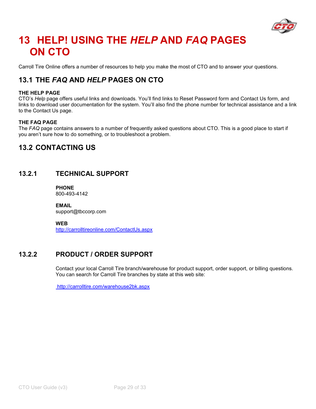

## **13 HELP! USING THE** *HELP* **AND** *FAQ* **PAGES ON CTO**

Carroll Tire Online offers a number of resources to help you make the most of CTO and to answer your questions.

### **13.1 THE** *FAQ* **AND** *HELP* **PAGES ON CTO**

#### **THE HELP PAGE**

CTO's *Help* page offers useful links and downloads. You'll find links to Reset Password form and Contact Us form, and links to download user documentation for the system. You'll also find the phone number for technical assistance and a link to the Contact Us page.

#### **THE FAQ PAGE**

The *FAQ* page contains answers to a number of frequently asked questions about CTO. This is a good place to start if you aren't sure how to do something, or to troubleshoot a problem.

### **13.2 CONTACTING US**

#### **13.2.1 TECHNICAL SUPPORT**

**PHONE**  800-493-4142

**EMAIL**  support@tbccorp.com

**WEB** 

http://carrolltireonline.com/ContactUs.aspx

### **13.2.2 PRODUCT / ORDER SUPPORT**

Contact your local Carroll Tire branch/warehouse for product support, order support, or billing questions. You can search for Carroll Tire branches by state at this web site:

http://carrolltire.com/warehouse2bk.aspx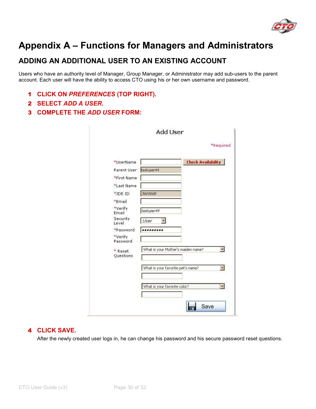

## **Appendix A – Functions for Managers and Administrators**

### **ADDING AN ADDITIONAL USER TO AN EXISTING ACCOUNT**

Users who have an authority level of Manager, Group Manager, or Administrator may add sub-users to the parent account. Each user will have the ability to access CTO using his or her own username and password.

- 1 **CLICK ON** *PREFERENCES* **(TOP RIGHT).**
- 2 **SELECT** *ADD A USER***.**
- 3 **COMPLETE THE** *ADD USER* **FORM:**

|                        | *Required                          |
|------------------------|------------------------------------|
| *UserName              | <b>Check Availability</b>          |
| Parent User testuser44 |                                    |
| *First Name            |                                    |
| *Last Name             |                                    |
| *JDE ID                | 3665668                            |
| *Email                 |                                    |
| *Verify<br>Email       | testuser44                         |
| Security<br>Level      | User                               |
| *Password              |                                    |
| *Verify<br>Password    |                                    |
| * Reset<br>Questions   | What is your Mother's maiden name? |
|                        | What is your favorite pet's name?  |
|                        |                                    |
|                        | What is your favorite color?       |
|                        |                                    |

#### 4 **CLICK SAVE.**

After the newly created user logs in, he can change his password and his secure password reset questions.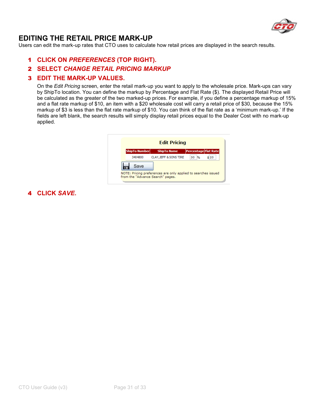

### **EDITING THE RETAIL PRICE MARK-UP**

Users can edit the mark-up rates that CTO uses to calculate how retail prices are displayed in the search results.

- 1 **CLICK ON** *PREFERENCES* **(TOP RIGHT).**
- 2 **SELECT** *CHANGE RETAIL PRICING MARKUP*

#### 3 **EDIT THE MARK-UP VALUES.**

On the *Edit Pricing* screen, enter the retail mark-up you want to apply to the wholesale price. Mark-ups can vary by ShipTo location. You can define the markup by Percentage and Flat Rate (\$). The displayed Retail Price will be calculated as the greater of the two marked-up prices. For example, if you define a percentage markup of 15% and a flat rate markup of \$10, an item with a \$20 wholesale cost will carry a retail price of \$30, because the 15% markup of \$3 is less than the flat rate markup of \$10. You can think of the flat rate as a 'minimum mark-up.' If the fields are left blank, the search results will simply display retail prices equal to the Dealer Cost with no mark-up applied.



4 **CLICK** *SAVE***.**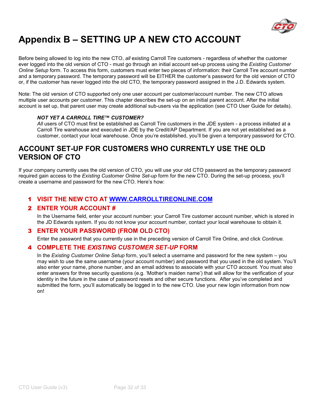

## **Appendix B – SETTING UP A NEW CTO ACCOUNT**

Before being allowed to log into the new CTO, *all* existing Carroll Tire customers - regardless of whether the customer ever logged into the old version of CTO - must go through an initial account set-up process using the *Existing Customer Online Setup* form. To access this form, customers must enter two pieces of information: their Carroll Tire account number and a temporary password. The temporary password will be EITHER the customer's password for the old version of CTO or, if the customer has never logged into the old CTO, the temporary password assigned in the J.D. Edwards system.

Note: The old version of CTO supported only one user account per customer/account number. The new CTO allows multiple user accounts per customer. This chapter describes the set-up on an initial parent account. After the initial account is set up, that parent user may create additional sub-users via the application (see CTO User Guide for details).

#### *NOT YET A CARROLL TIRE™ CUSTOMER?*

*All* users of CTO must first be established as Carroll Tire customers in the JDE system - a process initiated at a Carroll Tire warehouse and executed in JDE by the Credit/AP Department. If you are not yet established as a customer, contact your local warehouse. Once you're established, you'll be given a temporary password for CTO.

### **ACCOUNT SET-UP FOR CUSTOMERS WHO CURRENTLY USE THE OLD VERSION OF CTO**

If your company currently uses the old version of CTO, you will use your old CTO password as the temporary password required gain access to the *Existing Customer Online Set-up* form for the new CTO. During the set-up process, you'll create a username and password for the new CTO. Here's how:

#### 1 **VISIT THE NEW CTO AT WWW.CARROLLTIREONLINE.COM**

#### 2 **ENTER YOUR ACCOUNT #**

In the Username field, enter your account number: your Carroll Tire customer account number, which is stored in the JD Edwards system. If you do not know your account number, contact your local warehouse to obtain it.

#### 3 **ENTER YOUR PASSWORD (FROM OLD CTO)**

Enter the password that you currently use in the preceding version of Carroll Tire Online, and click *Continue.*

#### 4 **COMPLETE THE** *EXISTING CUSTOMER SET-UP* **FORM**

In the *Existing Customer Online Setup* form, you'll select a username and password for the new system – you may wish to use the same username (your account number) and password that you used in the old system. You'll also enter your name, phone number, and an email address to associate with your CTO account. You must also enter answers for three security questions (e.g. 'Mother's maiden name') that will allow for the verification of your identity in the future in the case of password resets and other secure functions. After you've completed and submitted the form, you'll automatically be logged in to the new CTO. Use your new login information from now on!